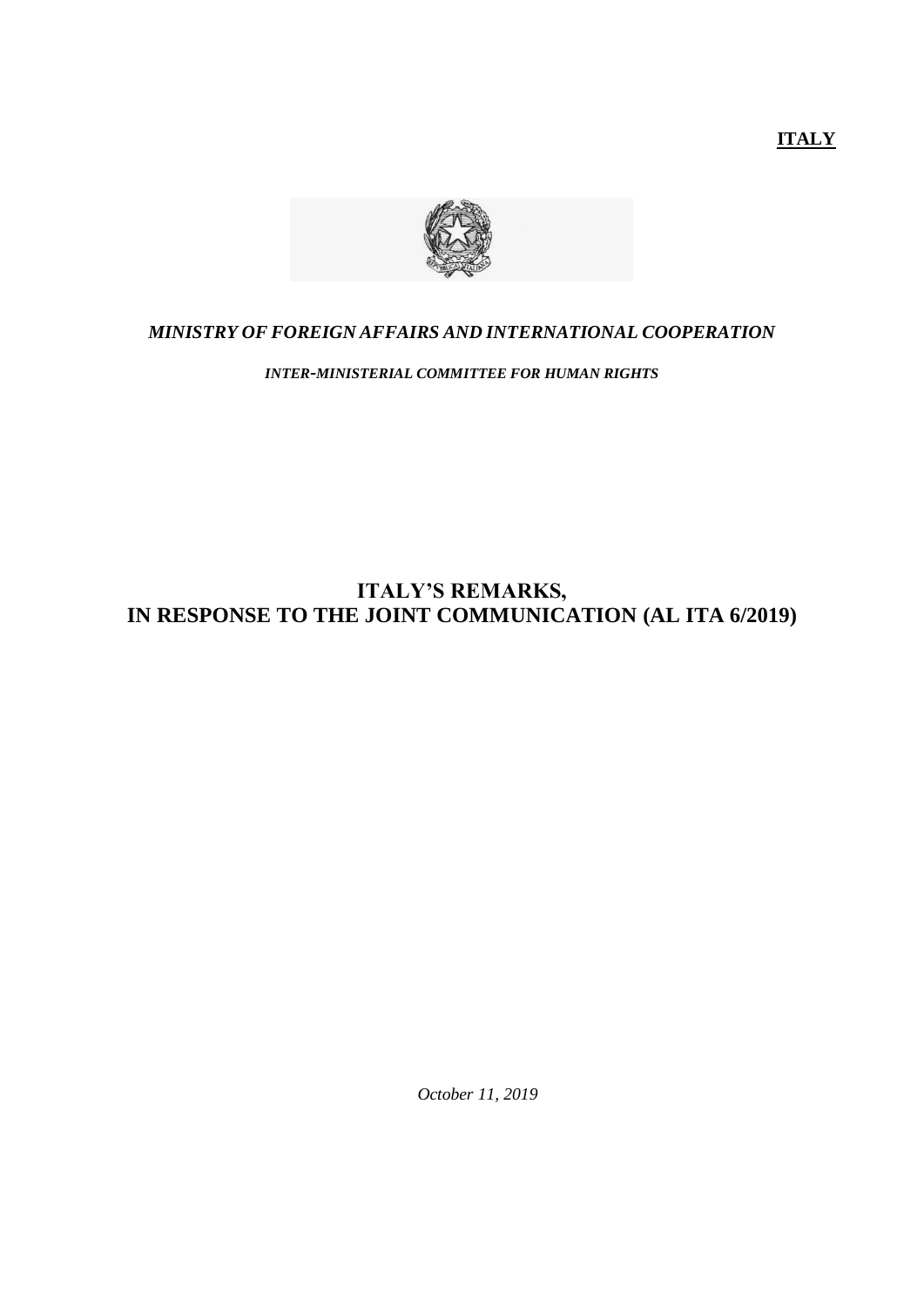**ITALY**



#### *MINISTRY OF FOREIGN AFFAIRS AND INTERNATIONAL COOPERATION*

*INTER-MINISTERIAL COMMITTEE FOR HUMAN RIGHTS*

# **ITALY'S REMARKS, IN RESPONSE TO THE JOINT COMMUNICATION (AL ITA 6/2019)**

*October 11, 2019*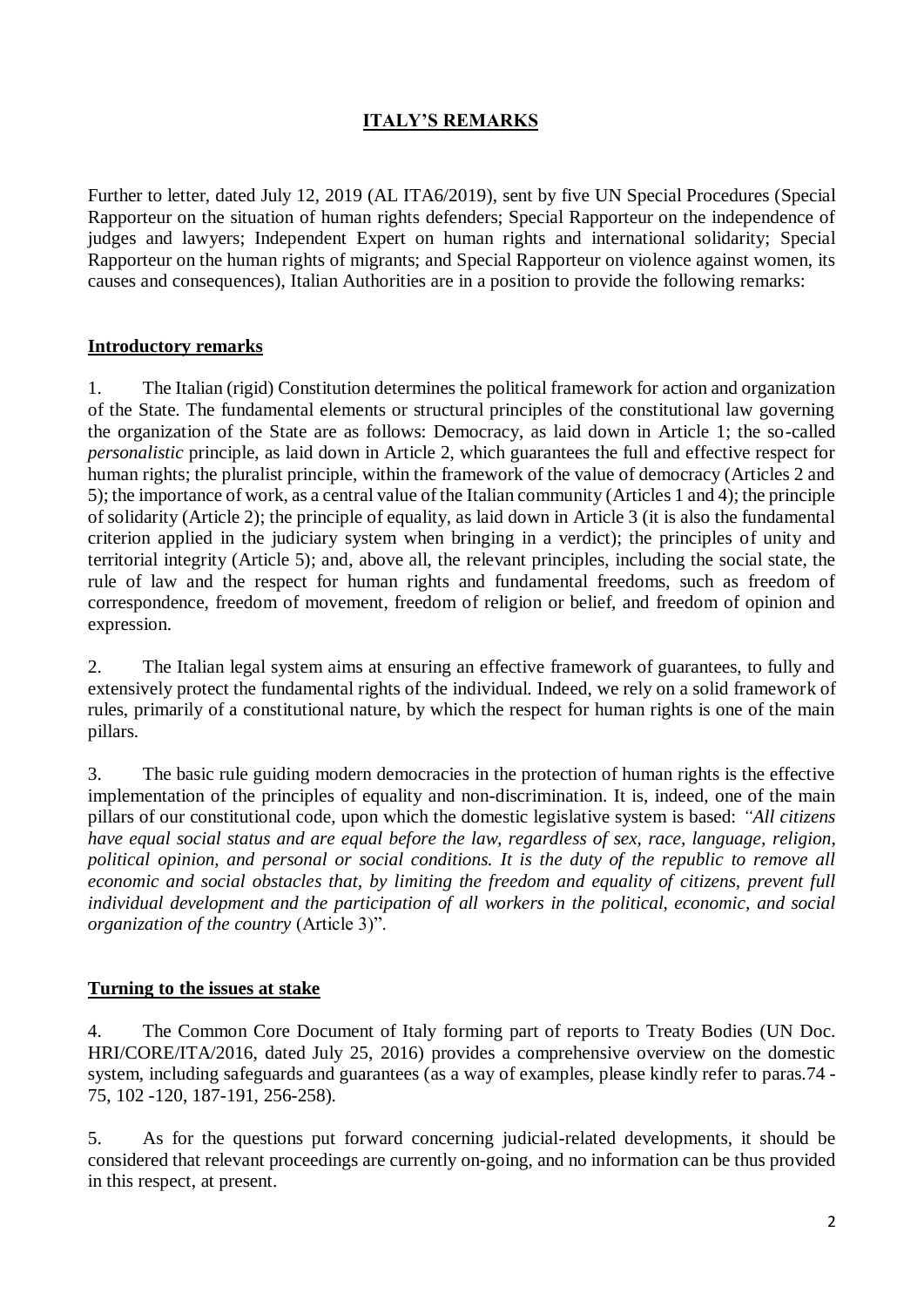## **ITALY'S REMARKS**

Further to letter, dated July 12, 2019 (AL ITA6/2019), sent by five UN Special Procedures (Special Rapporteur on the situation of human rights defenders; Special Rapporteur on the independence of judges and lawyers; Independent Expert on human rights and international solidarity; Special Rapporteur on the human rights of migrants; and Special Rapporteur on violence against women, its causes and consequences), Italian Authorities are in a position to provide the following remarks:

#### **Introductory remarks**

1. The Italian (rigid) Constitution determines the political framework for action and organization of the State. The fundamental elements or structural principles of the constitutional law governing the organization of the State are as follows: Democracy, as laid down in Article 1; the so-called *personalistic* principle, as laid down in Article 2, which guarantees the full and effective respect for human rights; the pluralist principle, within the framework of the value of democracy (Articles 2 and 5); the importance of work, as a central value of the Italian community (Articles 1 and 4); the principle of solidarity (Article 2); the principle of equality, as laid down in Article 3 (it is also the fundamental criterion applied in the judiciary system when bringing in a verdict); the principles of unity and territorial integrity (Article 5); and, above all, the relevant principles, including the social state, the rule of law and the respect for human rights and fundamental freedoms, such as freedom of correspondence, freedom of movement, freedom of religion or belief, and freedom of opinion and expression.

2. The Italian legal system aims at ensuring an effective framework of guarantees, to fully and extensively protect the fundamental rights of the individual. Indeed, we rely on a solid framework of rules, primarily of a constitutional nature, by which the respect for human rights is one of the main pillars.

3. The basic rule guiding modern democracies in the protection of human rights is the effective implementation of the principles of equality and non-discrimination. It is, indeed, one of the main pillars of our constitutional code, upon which the domestic legislative system is based: *"All citizens have equal social status and are equal before the law, regardless of sex, race, language, religion, political opinion, and personal or social conditions. It is the duty of the republic to remove all economic and social obstacles that, by limiting the freedom and equality of citizens, prevent full individual development and the participation of all workers in the political, economic, and social organization of the country* (Article 3)".

### **Turning to the issues at stake**

4. The Common Core Document of Italy forming part of reports to Treaty Bodies (UN Doc. HRI/CORE/ITA/2016, dated July 25, 2016) provides a comprehensive overview on the domestic system, including safeguards and guarantees (as a way of examples, please kindly refer to paras.74 - 75, 102 -120, 187-191, 256-258).

5. As for the questions put forward concerning judicial-related developments, it should be considered that relevant proceedings are currently on-going, and no information can be thus provided in this respect, at present.